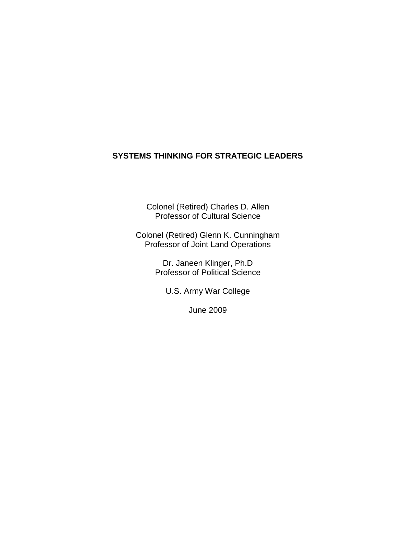# **SYSTEMS THINKING FOR STRATEGIC LEADERS**

Colonel (Retired) Charles D. Allen Professor of Cultural Science

Colonel (Retired) Glenn K. Cunningham Professor of Joint Land Operations

> Dr. Janeen Klinger, Ph.D Professor of Political Science

U.S. Army War College

June 2009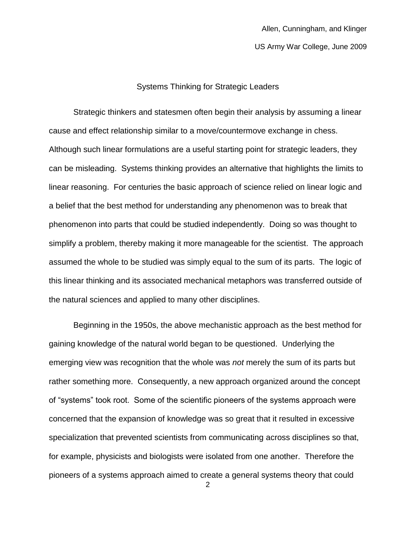### Systems Thinking for Strategic Leaders

Strategic thinkers and statesmen often begin their analysis by assuming a linear cause and effect relationship similar to a move/countermove exchange in chess. Although such linear formulations are a useful starting point for strategic leaders, they can be misleading. Systems thinking provides an alternative that highlights the limits to linear reasoning. For centuries the basic approach of science relied on linear logic and a belief that the best method for understanding any phenomenon was to break that phenomenon into parts that could be studied independently. Doing so was thought to simplify a problem, thereby making it more manageable for the scientist. The approach assumed the whole to be studied was simply equal to the sum of its parts. The logic of this linear thinking and its associated mechanical metaphors was transferred outside of the natural sciences and applied to many other disciplines.

Beginning in the 1950s, the above mechanistic approach as the best method for gaining knowledge of the natural world began to be questioned. Underlying the emerging view was recognition that the whole was *not* merely the sum of its parts but rather something more. Consequently, a new approach organized around the concept of "systems" took root. Some of the scientific pioneers of the systems approach were concerned that the expansion of knowledge was so great that it resulted in excessive specialization that prevented scientists from communicating across disciplines so that, for example, physicists and biologists were isolated from one another. Therefore the pioneers of a systems approach aimed to create a general systems theory that could

<sup>2</sup>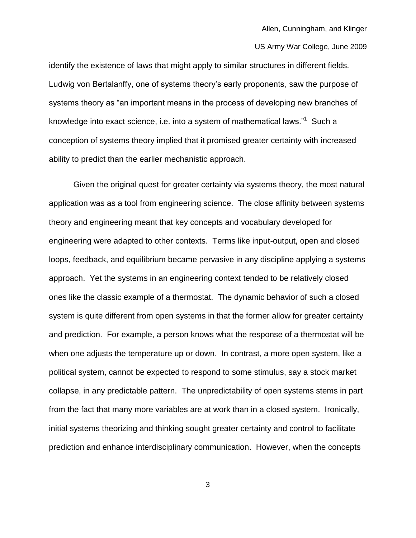identify the existence of laws that might apply to similar structures in different fields. Ludwig von Bertalanffy, one of systems theory's early proponents, saw the purpose of systems theory as "an important means in the process of developing new branches of knowledge into exact science, i.e. into a system of mathematical laws."<sup>1</sup> Such a conception of systems theory implied that it promised greater certainty with increased ability to predict than the earlier mechanistic approach.

Given the original quest for greater certainty via systems theory, the most natural application was as a tool from engineering science. The close affinity between systems theory and engineering meant that key concepts and vocabulary developed for engineering were adapted to other contexts. Terms like input-output, open and closed loops, feedback, and equilibrium became pervasive in any discipline applying a systems approach. Yet the systems in an engineering context tended to be relatively closed ones like the classic example of a thermostat. The dynamic behavior of such a closed system is quite different from open systems in that the former allow for greater certainty and prediction. For example, a person knows what the response of a thermostat will be when one adjusts the temperature up or down. In contrast, a more open system, like a political system, cannot be expected to respond to some stimulus, say a stock market collapse, in any predictable pattern. The unpredictability of open systems stems in part from the fact that many more variables are at work than in a closed system. Ironically, initial systems theorizing and thinking sought greater certainty and control to facilitate prediction and enhance interdisciplinary communication. However, when the concepts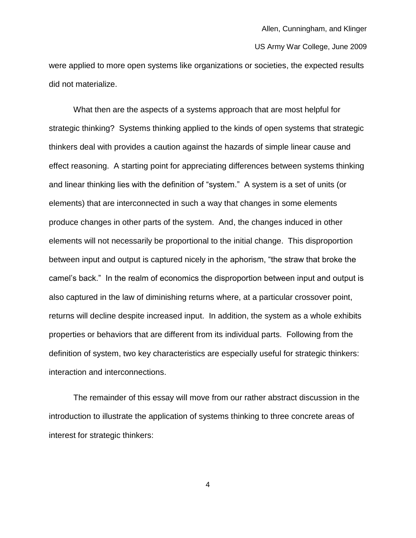were applied to more open systems like organizations or societies, the expected results did not materialize.

What then are the aspects of a systems approach that are most helpful for strategic thinking? Systems thinking applied to the kinds of open systems that strategic thinkers deal with provides a caution against the hazards of simple linear cause and effect reasoning. A starting point for appreciating differences between systems thinking and linear thinking lies with the definition of "system." A system is a set of units (or elements) that are interconnected in such a way that changes in some elements produce changes in other parts of the system. And, the changes induced in other elements will not necessarily be proportional to the initial change. This disproportion between input and output is captured nicely in the aphorism, "the straw that broke the camel's back.‖ In the realm of economics the disproportion between input and output is also captured in the law of diminishing returns where, at a particular crossover point, returns will decline despite increased input. In addition, the system as a whole exhibits properties or behaviors that are different from its individual parts. Following from the definition of system, two key characteristics are especially useful for strategic thinkers: interaction and interconnections.

The remainder of this essay will move from our rather abstract discussion in the introduction to illustrate the application of systems thinking to three concrete areas of interest for strategic thinkers: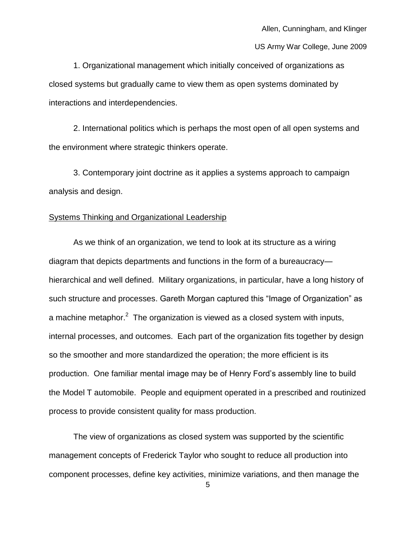1. Organizational management which initially conceived of organizations as closed systems but gradually came to view them as open systems dominated by interactions and interdependencies.

2. International politics which is perhaps the most open of all open systems and the environment where strategic thinkers operate.

3. Contemporary joint doctrine as it applies a systems approach to campaign analysis and design.

### Systems Thinking and Organizational Leadership

As we think of an organization, we tend to look at its structure as a wiring diagram that depicts departments and functions in the form of a bureaucracy hierarchical and well defined. Military organizations, in particular, have a long history of such structure and processes. Gareth Morgan captured this "Image of Organization" as a machine metaphor.<sup>2</sup> The organization is viewed as a closed system with inputs, internal processes, and outcomes. Each part of the organization fits together by design so the smoother and more standardized the operation; the more efficient is its production. One familiar mental image may be of Henry Ford's assembly line to build the Model T automobile. People and equipment operated in a prescribed and routinized process to provide consistent quality for mass production.

The view of organizations as closed system was supported by the scientific management concepts of Frederick Taylor who sought to reduce all production into component processes, define key activities, minimize variations, and then manage the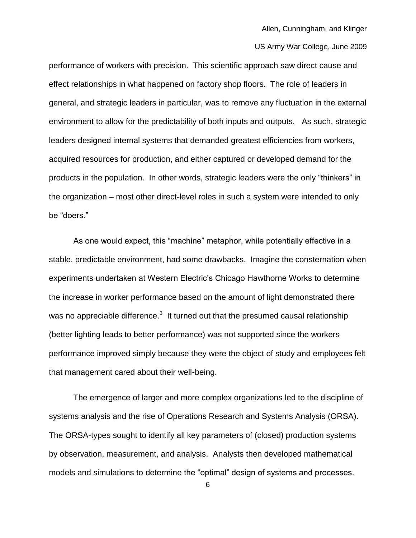performance of workers with precision. This scientific approach saw direct cause and effect relationships in what happened on factory shop floors. The role of leaders in general, and strategic leaders in particular, was to remove any fluctuation in the external environment to allow for the predictability of both inputs and outputs. As such, strategic leaders designed internal systems that demanded greatest efficiencies from workers, acquired resources for production, and either captured or developed demand for the products in the population. In other words, strategic leaders were the only "thinkers" in the organization – most other direct-level roles in such a system were intended to only be "doers."

As one would expect, this "machine" metaphor, while potentially effective in a stable, predictable environment, had some drawbacks. Imagine the consternation when experiments undertaken at Western Electric's Chicago Hawthorne Works to determine the increase in worker performance based on the amount of light demonstrated there was no appreciable difference. $^3$  It turned out that the presumed causal relationship (better lighting leads to better performance) was not supported since the workers performance improved simply because they were the object of study and employees felt that management cared about their well-being.

The emergence of larger and more complex organizations led to the discipline of systems analysis and the rise of Operations Research and Systems Analysis (ORSA). The ORSA-types sought to identify all key parameters of (closed) production systems by observation, measurement, and analysis. Analysts then developed mathematical models and simulations to determine the "optimal" design of systems and processes.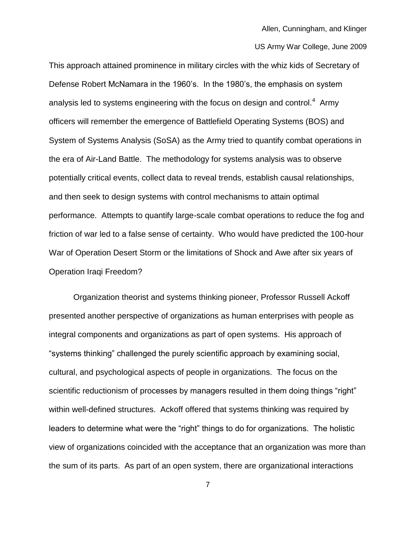This approach attained prominence in military circles with the whiz kids of Secretary of Defense Robert McNamara in the 1960's. In the 1980's, the emphasis on system analysis led to systems engineering with the focus on design and control.<sup>4</sup> Army officers will remember the emergence of Battlefield Operating Systems (BOS) and System of Systems Analysis (SoSA) as the Army tried to quantify combat operations in the era of Air-Land Battle. The methodology for systems analysis was to observe potentially critical events, collect data to reveal trends, establish causal relationships, and then seek to design systems with control mechanisms to attain optimal performance. Attempts to quantify large-scale combat operations to reduce the fog and friction of war led to a false sense of certainty. Who would have predicted the 100-hour War of Operation Desert Storm or the limitations of Shock and Awe after six years of Operation Iraqi Freedom?

Organization theorist and systems thinking pioneer, Professor Russell Ackoff presented another perspective of organizations as human enterprises with people as integral components and organizations as part of open systems. His approach of ―systems thinking‖ challenged the purely scientific approach by examining social, cultural, and psychological aspects of people in organizations. The focus on the scientific reductionism of processes by managers resulted in them doing things "right" within well-defined structures. Ackoff offered that systems thinking was required by leaders to determine what were the "right" things to do for organizations. The holistic view of organizations coincided with the acceptance that an organization was more than the sum of its parts. As part of an open system, there are organizational interactions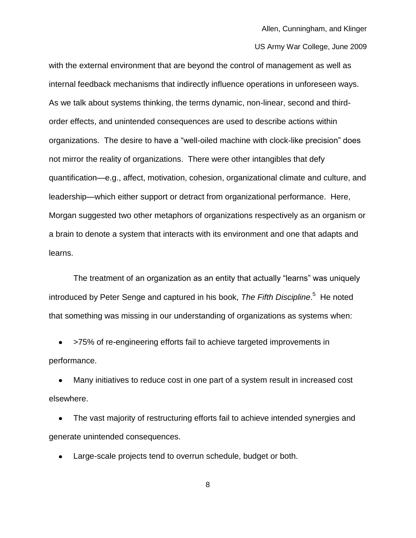with the external environment that are beyond the control of management as well as internal feedback mechanisms that indirectly influence operations in unforeseen ways. As we talk about systems thinking, the terms dynamic, non-linear, second and thirdorder effects, and unintended consequences are used to describe actions within organizations. The desire to have a "well-oiled machine with clock-like precision" does not mirror the reality of organizations. There were other intangibles that defy quantification—e.g., affect, motivation, cohesion, organizational climate and culture, and leadership—which either support or detract from organizational performance. Here, Morgan suggested two other metaphors of organizations respectively as an organism or a brain to denote a system that interacts with its environment and one that adapts and learns.

The treatment of an organization as an entity that actually "learns" was uniquely introduced by Peter Senge and captured in his book, The Fifth Discipline.<sup>5</sup> He noted that something was missing in our understanding of organizations as systems when:

>75% of re-engineering efforts fail to achieve targeted improvements in performance.

Many initiatives to reduce cost in one part of a system result in increased cost elsewhere.

The vast majority of restructuring efforts fail to achieve intended synergies and generate unintended consequences.

Large-scale projects tend to overrun schedule, budget or both.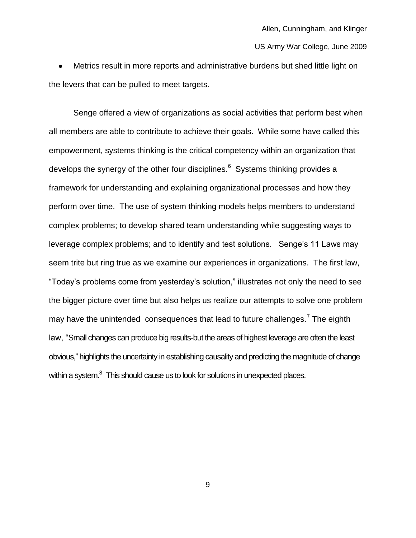Metrics result in more reports and administrative burdens but shed little light on the levers that can be pulled to meet targets.

Senge offered a view of organizations as social activities that perform best when all members are able to contribute to achieve their goals. While some have called this empowerment, systems thinking is the critical competency within an organization that develops the synergy of the other four disciplines.<sup>6</sup> Systems thinking provides a framework for understanding and explaining organizational processes and how they perform over time. The use of system thinking models helps members to understand complex problems; to develop shared team understanding while suggesting ways to leverage complex problems; and to identify and test solutions. Senge's 11 Laws may seem trite but ring true as we examine our experiences in organizations. The first law, ―Today's problems come from yesterday's solution,‖ illustrates not only the need to see the bigger picture over time but also helps us realize our attempts to solve one problem may have the unintended consequences that lead to future challenges.<sup>7</sup> The eighth law, "Small changes can produce big results-but the areas of highest leverage are often the least obvious," highlights the uncertainty in establishing causality and predicting the magnitude of change within a system. $^8$  This should cause us to look for solutions in unexpected places.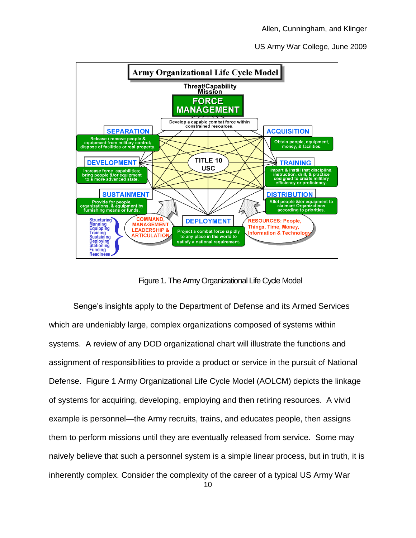

Figure 1. The Army Organizational Life Cycle Model

Senge's insights apply to the Department of Defense and its Armed Services which are undeniably large, complex organizations composed of systems within systems. A review of any DOD organizational chart will illustrate the functions and assignment of responsibilities to provide a product or service in the pursuit of National Defense. Figure 1 Army Organizational Life Cycle Model (AOLCM) depicts the linkage of systems for acquiring, developing, employing and then retiring resources. A vivid example is personnel—the Army recruits, trains, and educates people, then assigns them to perform missions until they are eventually released from service. Some may naively believe that such a personnel system is a simple linear process, but in truth, it is inherently complex. Consider the complexity of the career of a typical US Army War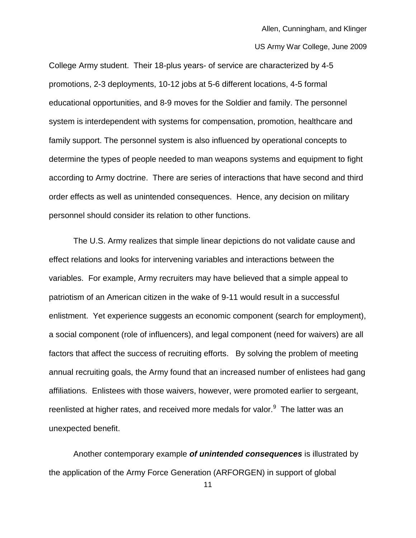College Army student. Their 18-plus years- of service are characterized by 4-5 promotions, 2-3 deployments, 10-12 jobs at 5-6 different locations, 4-5 formal educational opportunities, and 8-9 moves for the Soldier and family. The personnel system is interdependent with systems for compensation, promotion, healthcare and family support. The personnel system is also influenced by operational concepts to determine the types of people needed to man weapons systems and equipment to fight according to Army doctrine. There are series of interactions that have second and third order effects as well as unintended consequences. Hence, any decision on military personnel should consider its relation to other functions.

The U.S. Army realizes that simple linear depictions do not validate cause and effect relations and looks for intervening variables and interactions between the variables. For example, Army recruiters may have believed that a simple appeal to patriotism of an American citizen in the wake of 9-11 would result in a successful enlistment. Yet experience suggests an economic component (search for employment), a social component (role of influencers), and legal component (need for waivers) are all factors that affect the success of recruiting efforts. By solving the problem of meeting annual recruiting goals, the Army found that an increased number of enlistees had gang affiliations. Enlistees with those waivers, however, were promoted earlier to sergeant, reenlisted at higher rates, and received more medals for valor. $9$  The latter was an unexpected benefit.

Another contemporary example *of unintended consequences* is illustrated by the application of the Army Force Generation (ARFORGEN) in support of global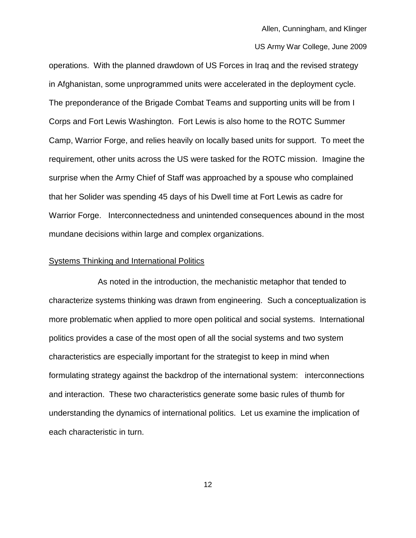operations. With the planned drawdown of US Forces in Iraq and the revised strategy in Afghanistan, some unprogrammed units were accelerated in the deployment cycle. The preponderance of the Brigade Combat Teams and supporting units will be from I Corps and Fort Lewis Washington. Fort Lewis is also home to the ROTC Summer Camp, Warrior Forge, and relies heavily on locally based units for support. To meet the requirement, other units across the US were tasked for the ROTC mission. Imagine the surprise when the Army Chief of Staff was approached by a spouse who complained that her Solider was spending 45 days of his Dwell time at Fort Lewis as cadre for Warrior Forge. Interconnectedness and unintended consequences abound in the most mundane decisions within large and complex organizations.

## Systems Thinking and International Politics

As noted in the introduction, the mechanistic metaphor that tended to characterize systems thinking was drawn from engineering. Such a conceptualization is more problematic when applied to more open political and social systems. International politics provides a case of the most open of all the social systems and two system characteristics are especially important for the strategist to keep in mind when formulating strategy against the backdrop of the international system: interconnections and interaction. These two characteristics generate some basic rules of thumb for understanding the dynamics of international politics. Let us examine the implication of each characteristic in turn.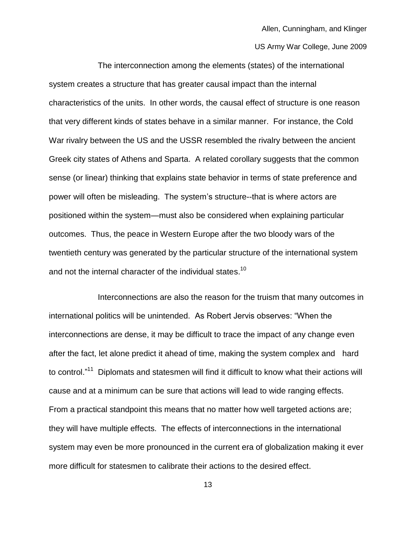The interconnection among the elements (states) of the international system creates a structure that has greater causal impact than the internal characteristics of the units. In other words, the causal effect of structure is one reason that very different kinds of states behave in a similar manner. For instance, the Cold War rivalry between the US and the USSR resembled the rivalry between the ancient Greek city states of Athens and Sparta. A related corollary suggests that the common sense (or linear) thinking that explains state behavior in terms of state preference and power will often be misleading. The system's structure--that is where actors are positioned within the system—must also be considered when explaining particular outcomes. Thus, the peace in Western Europe after the two bloody wars of the twentieth century was generated by the particular structure of the international system and not the internal character of the individual states.<sup>10</sup>

Interconnections are also the reason for the truism that many outcomes in international politics will be unintended. As Robert Jervis observes: "When the interconnections are dense, it may be difficult to trace the impact of any change even after the fact, let alone predict it ahead of time, making the system complex and hard to control."<sup>11</sup> Diplomats and statesmen will find it difficult to know what their actions will cause and at a minimum can be sure that actions will lead to wide ranging effects. From a practical standpoint this means that no matter how well targeted actions are; they will have multiple effects. The effects of interconnections in the international system may even be more pronounced in the current era of globalization making it ever more difficult for statesmen to calibrate their actions to the desired effect.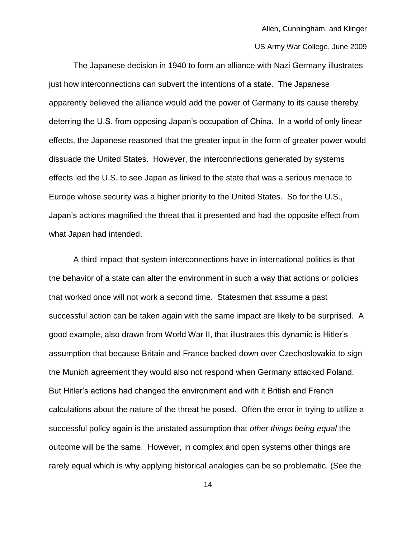The Japanese decision in 1940 to form an alliance with Nazi Germany illustrates just how interconnections can subvert the intentions of a state. The Japanese apparently believed the alliance would add the power of Germany to its cause thereby deterring the U.S. from opposing Japan's occupation of China. In a world of only linear effects, the Japanese reasoned that the greater input in the form of greater power would dissuade the United States. However, the interconnections generated by systems effects led the U.S. to see Japan as linked to the state that was a serious menace to Europe whose security was a higher priority to the United States. So for the U.S., Japan's actions magnified the threat that it presented and had the opposite effect from what Japan had intended.

A third impact that system interconnections have in international politics is that the behavior of a state can alter the environment in such a way that actions or policies that worked once will not work a second time. Statesmen that assume a past successful action can be taken again with the same impact are likely to be surprised. A good example, also drawn from World War II, that illustrates this dynamic is Hitler's assumption that because Britain and France backed down over Czechoslovakia to sign the Munich agreement they would also not respond when Germany attacked Poland. But Hitler's actions had changed the environment and with it British and French calculations about the nature of the threat he posed. Often the error in trying to utilize a successful policy again is the unstated assumption that *other things being equal* the outcome will be the same. However, in complex and open systems other things are rarely equal which is why applying historical analogies can be so problematic. (See the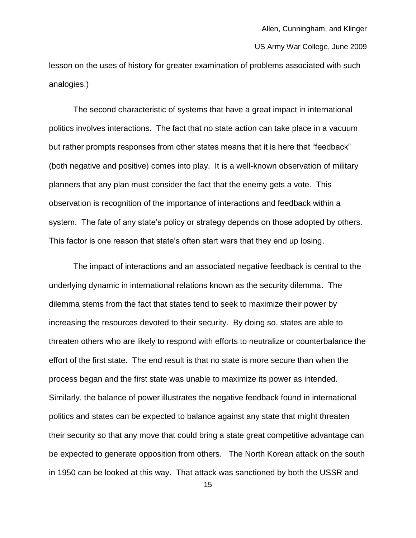lesson on the uses of history for greater examination of problems associated with such analogies.)

The second characteristic of systems that have a great impact in international politics involves interactions. The fact that no state action can take place in a vacuum but rather prompts responses from other states means that it is here that "feedback" (both negative and positive) comes into play. It is a well-known observation of military planners that any plan must consider the fact that the enemy gets a vote. This observation is recognition of the importance of interactions and feedback within a system. The fate of any state's policy or strategy depends on those adopted by others. This factor is one reason that state's often start wars that they end up losing.

The impact of interactions and an associated negative feedback is central to the underlying dynamic in international relations known as the security dilemma. The dilemma stems from the fact that states tend to seek to maximize their power by increasing the resources devoted to their security. By doing so, states are able to threaten others who are likely to respond with efforts to neutralize or counterbalance the effort of the first state. The end result is that no state is more secure than when the process began and the first state was unable to maximize its power as intended. Similarly, the balance of power illustrates the negative feedback found in international politics and states can be expected to balance against any state that might threaten their security so that any move that could bring a state great competitive advantage can be expected to generate opposition from others. The North Korean attack on the south in 1950 can be looked at this way. That attack was sanctioned by both the USSR and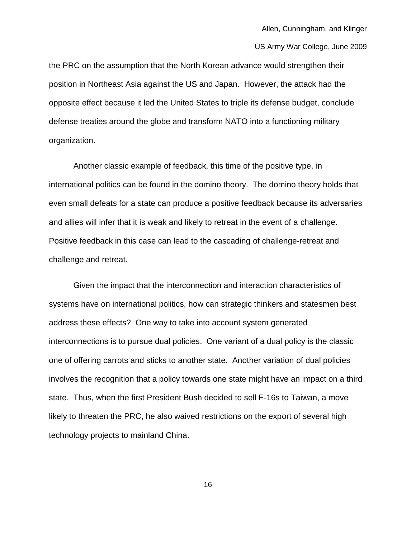the PRC on the assumption that the North Korean advance would strengthen their position in Northeast Asia against the US and Japan. However, the attack had the opposite effect because it led the United States to triple its defense budget, conclude defense treaties around the globe and transform NATO into a functioning military organization.

Another classic example of feedback, this time of the positive type, in international politics can be found in the domino theory. The domino theory holds that even small defeats for a state can produce a positive feedback because its adversaries and allies will infer that it is weak and likely to retreat in the event of a challenge. Positive feedback in this case can lead to the cascading of challenge-retreat and challenge and retreat.

Given the impact that the interconnection and interaction characteristics of systems have on international politics, how can strategic thinkers and statesmen best address these effects? One way to take into account system generated interconnections is to pursue dual policies. One variant of a dual policy is the classic one of offering carrots and sticks to another state. Another variation of dual policies involves the recognition that a policy towards one state might have an impact on a third state. Thus, when the first President Bush decided to sell F-16s to Taiwan, a move likely to threaten the PRC, he also waived restrictions on the export of several high technology projects to mainland China.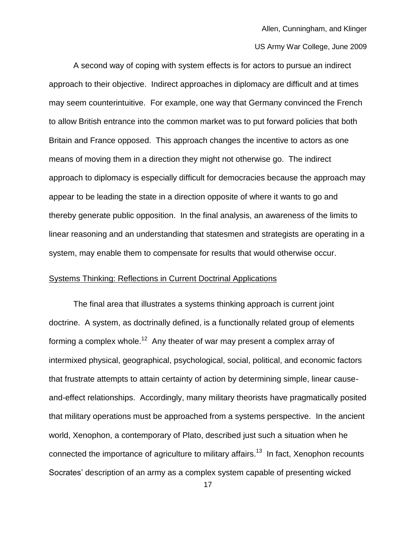A second way of coping with system effects is for actors to pursue an indirect approach to their objective. Indirect approaches in diplomacy are difficult and at times may seem counterintuitive. For example, one way that Germany convinced the French to allow British entrance into the common market was to put forward policies that both Britain and France opposed. This approach changes the incentive to actors as one means of moving them in a direction they might not otherwise go. The indirect approach to diplomacy is especially difficult for democracies because the approach may appear to be leading the state in a direction opposite of where it wants to go and thereby generate public opposition. In the final analysis, an awareness of the limits to linear reasoning and an understanding that statesmen and strategists are operating in a system, may enable them to compensate for results that would otherwise occur.

### Systems Thinking: Reflections in Current Doctrinal Applications

The final area that illustrates a systems thinking approach is current joint doctrine. A system, as doctrinally defined, is a functionally related group of elements forming a complex whole.<sup>12</sup> Any theater of war may present a complex array of intermixed physical, geographical, psychological, social, political, and economic factors that frustrate attempts to attain certainty of action by determining simple, linear causeand-effect relationships. Accordingly, many military theorists have pragmatically posited that military operations must be approached from a systems perspective. In the ancient world, Xenophon, a contemporary of Plato, described just such a situation when he connected the importance of agriculture to military affairs.<sup>13</sup> In fact, Xenophon recounts Socrates' description of an army as a complex system capable of presenting wicked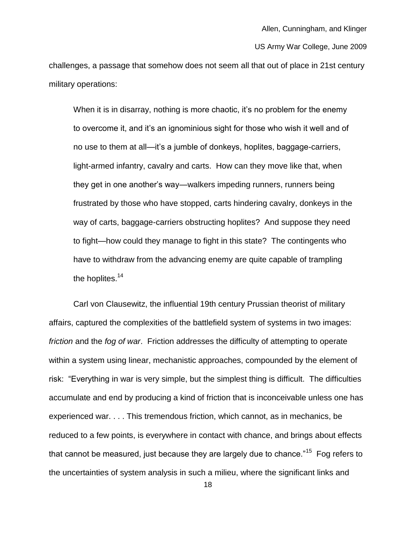challenges, a passage that somehow does not seem all that out of place in 21st century military operations:

When it is in disarray, nothing is more chaotic, it's no problem for the enemy to overcome it, and it's an ignominious sight for those who wish it well and of no use to them at all—it's a jumble of donkeys, hoplites, baggage-carriers, light-armed infantry, cavalry and carts. How can they move like that, when they get in one another's way—walkers impeding runners, runners being frustrated by those who have stopped, carts hindering cavalry, donkeys in the way of carts, baggage-carriers obstructing hoplites? And suppose they need to fight—how could they manage to fight in this state? The contingents who have to withdraw from the advancing enemy are quite capable of trampling the hoplites. $14$ 

Carl von Clausewitz, the influential 19th century Prussian theorist of military affairs, captured the complexities of the battlefield system of systems in two images: *friction* and the *fog of war*. Friction addresses the difficulty of attempting to operate within a system using linear, mechanistic approaches, compounded by the element of risk: "Everything in war is very simple, but the simplest thing is difficult. The difficulties accumulate and end by producing a kind of friction that is inconceivable unless one has experienced war. . . . This tremendous friction, which cannot, as in mechanics, be reduced to a few points, is everywhere in contact with chance, and brings about effects that cannot be measured, just because they are largely due to chance."<sup>15</sup> Fog refers to the uncertainties of system analysis in such a milieu, where the significant links and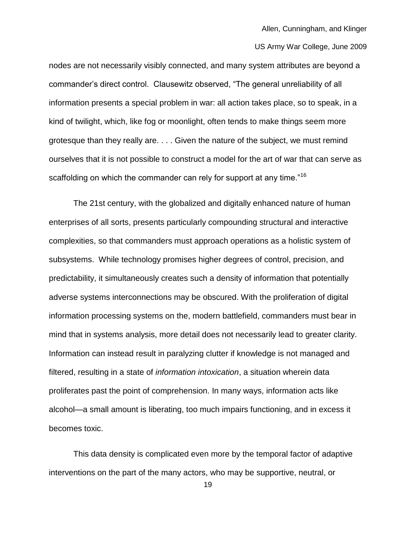nodes are not necessarily visibly connected, and many system attributes are beyond a commander's direct control. Clausewitz observed, "The general unreliability of all information presents a special problem in war: all action takes place, so to speak, in a kind of twilight, which, like fog or moonlight, often tends to make things seem more grotesque than they really are. . . . Given the nature of the subject, we must remind ourselves that it is not possible to construct a model for the art of war that can serve as scaffolding on which the commander can rely for support at any time."<sup>16</sup>

The 21st century, with the globalized and digitally enhanced nature of human enterprises of all sorts, presents particularly compounding structural and interactive complexities, so that commanders must approach operations as a holistic system of subsystems. While technology promises higher degrees of control, precision, and predictability, it simultaneously creates such a density of information that potentially adverse systems interconnections may be obscured. With the proliferation of digital information processing systems on the, modern battlefield, commanders must bear in mind that in systems analysis, more detail does not necessarily lead to greater clarity. Information can instead result in paralyzing clutter if knowledge is not managed and filtered, resulting in a state of *information intoxication*, a situation wherein data proliferates past the point of comprehension. In many ways, information acts like alcohol—a small amount is liberating, too much impairs functioning, and in excess it becomes toxic.

This data density is complicated even more by the temporal factor of adaptive interventions on the part of the many actors, who may be supportive, neutral, or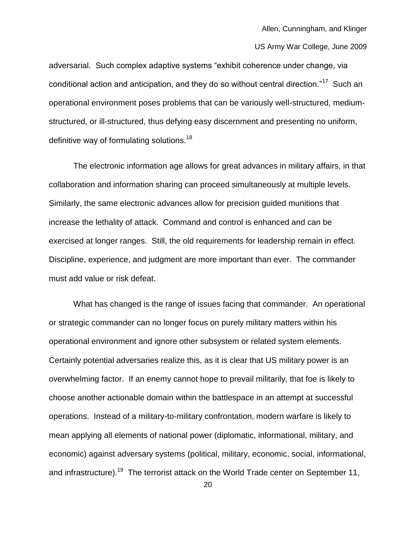adversarial. Such complex adaptive systems "exhibit coherence under change, via conditional action and anticipation, and they do so without central direction."<sup>17</sup> Such an operational environment poses problems that can be variously well-structured, mediumstructured, or ill-structured, thus defying easy discernment and presenting no uniform, definitive way of formulating solutions.<sup>18</sup>

The electronic information age allows for great advances in military affairs, in that collaboration and information sharing can proceed simultaneously at multiple levels. Similarly, the same electronic advances allow for precision guided munitions that increase the lethality of attack. Command and control is enhanced and can be exercised at longer ranges. Still, the old requirements for leadership remain in effect. Discipline, experience, and judgment are more important than ever. The commander must add value or risk defeat.

What has changed is the range of issues facing that commander. An operational or strategic commander can no longer focus on purely military matters within his operational environment and ignore other subsystem or related system elements. Certainly potential adversaries realize this, as it is clear that US military power is an overwhelming factor. If an enemy cannot hope to prevail militarily, that foe is likely to choose another actionable domain within the battlespace in an attempt at successful operations. Instead of a military-to-military confrontation, modern warfare is likely to mean applying all elements of national power (diplomatic, informational, military, and economic) against adversary systems (political, military, economic, social, informational, and infrastructure).<sup>19</sup> The terrorist attack on the World Trade center on September 11,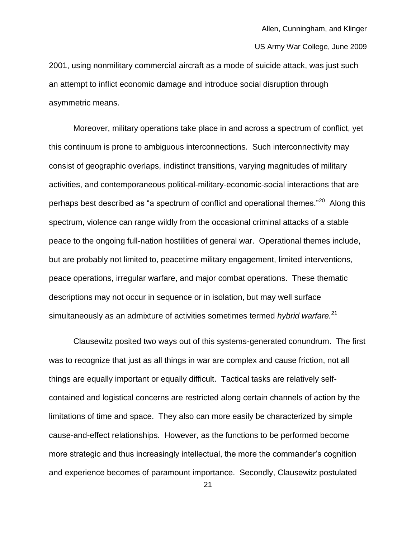2001, using nonmilitary commercial aircraft as a mode of suicide attack, was just such an attempt to inflict economic damage and introduce social disruption through asymmetric means.

Moreover, military operations take place in and across a spectrum of conflict, yet this continuum is prone to ambiguous interconnections. Such interconnectivity may consist of geographic overlaps, indistinct transitions, varying magnitudes of military activities, and contemporaneous political-military-economic-social interactions that are perhaps best described as "a spectrum of conflict and operational themes."<sup>20</sup> Along this spectrum, violence can range wildly from the occasional criminal attacks of a stable peace to the ongoing full-nation hostilities of general war. Operational themes include, but are probably not limited to, peacetime military engagement, limited interventions, peace operations, irregular warfare, and major combat operations. These thematic descriptions may not occur in sequence or in isolation, but may well surface simultaneously as an admixture of activities sometimes termed *hybrid warfare.*<sup>21</sup>

Clausewitz posited two ways out of this systems-generated conundrum. The first was to recognize that just as all things in war are complex and cause friction, not all things are equally important or equally difficult. Tactical tasks are relatively selfcontained and logistical concerns are restricted along certain channels of action by the limitations of time and space. They also can more easily be characterized by simple cause-and-effect relationships. However, as the functions to be performed become more strategic and thus increasingly intellectual, the more the commander's cognition and experience becomes of paramount importance. Secondly, Clausewitz postulated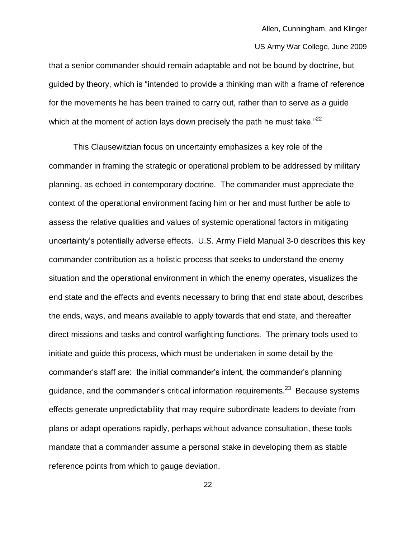that a senior commander should remain adaptable and not be bound by doctrine, but guided by theory, which is "intended to provide a thinking man with a frame of reference for the movements he has been trained to carry out, rather than to serve as a guide which at the moment of action lays down precisely the path he must take. $"^{22}$ 

This Clausewitzian focus on uncertainty emphasizes a key role of the commander in framing the strategic or operational problem to be addressed by military planning, as echoed in contemporary doctrine. The commander must appreciate the context of the operational environment facing him or her and must further be able to assess the relative qualities and values of systemic operational factors in mitigating uncertainty's potentially adverse effects. U.S. Army Field Manual 3-0 describes this key commander contribution as a holistic process that seeks to understand the enemy situation and the operational environment in which the enemy operates, visualizes the end state and the effects and events necessary to bring that end state about, describes the ends, ways, and means available to apply towards that end state, and thereafter direct missions and tasks and control warfighting functions. The primary tools used to initiate and guide this process, which must be undertaken in some detail by the commander's staff are: the initial commander's intent, the commander's planning guidance, and the commander's critical information requirements.<sup>23</sup> Because systems effects generate unpredictability that may require subordinate leaders to deviate from plans or adapt operations rapidly, perhaps without advance consultation, these tools mandate that a commander assume a personal stake in developing them as stable reference points from which to gauge deviation.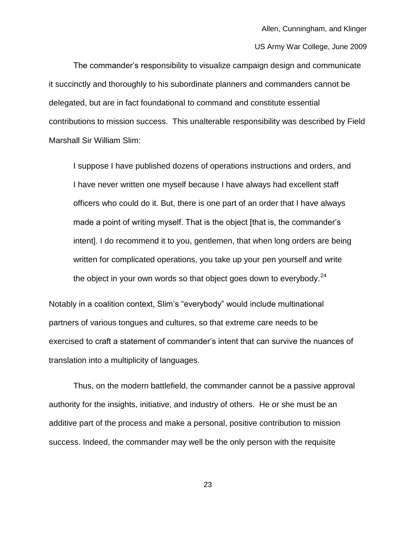The commander's responsibility to visualize campaign design and communicate it succinctly and thoroughly to his subordinate planners and commanders cannot be delegated, but are in fact foundational to command and constitute essential contributions to mission success. This unalterable responsibility was described by Field Marshall Sir William Slim:

I suppose I have published dozens of operations instructions and orders, and I have never written one myself because I have always had excellent staff officers who could do it. But, there is one part of an order that I have always made a point of writing myself. That is the object [that is, the commander's intent]. I do recommend it to you, gentlemen, that when long orders are being written for complicated operations, you take up your pen yourself and write the object in your own words so that object goes down to everybody. $^{24}$ 

Notably in a coalition context, Slim's "everybody" would include multinational partners of various tongues and cultures, so that extreme care needs to be exercised to craft a statement of commander's intent that can survive the nuances of translation into a multiplicity of languages.

Thus, on the modern battlefield, the commander cannot be a passive approval authority for the insights, initiative, and industry of others. He or she must be an additive part of the process and make a personal, positive contribution to mission success. Indeed, the commander may well be the only person with the requisite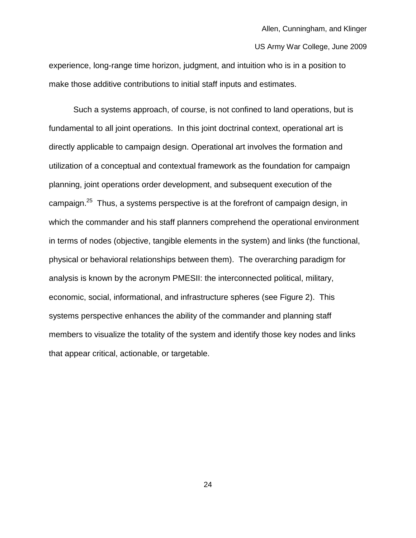experience, long-range time horizon, judgment, and intuition who is in a position to make those additive contributions to initial staff inputs and estimates.

Such a systems approach, of course, is not confined to land operations, but is fundamental to all joint operations. In this joint doctrinal context, operational art is directly applicable to campaign design. Operational art involves the formation and utilization of a conceptual and contextual framework as the foundation for campaign planning, joint operations order development, and subsequent execution of the campaign.<sup>25</sup> Thus, a systems perspective is at the forefront of campaign design, in which the commander and his staff planners comprehend the operational environment in terms of nodes (objective, tangible elements in the system) and links (the functional, physical or behavioral relationships between them). The overarching paradigm for analysis is known by the acronym PMESII: the interconnected political, military, economic, social, informational, and infrastructure spheres (see Figure 2). This systems perspective enhances the ability of the commander and planning staff members to visualize the totality of the system and identify those key nodes and links that appear critical, actionable, or targetable.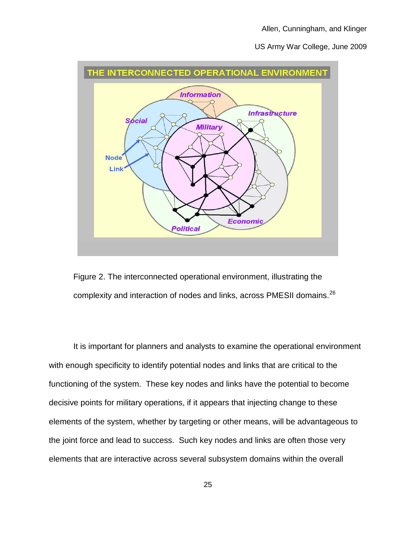



It is important for planners and analysts to examine the operational environment with enough specificity to identify potential nodes and links that are critical to the functioning of the system. These key nodes and links have the potential to become decisive points for military operations, if it appears that injecting change to these elements of the system, whether by targeting or other means, will be advantageous to the joint force and lead to success. Such key nodes and links are often those very elements that are interactive across several subsystem domains within the overall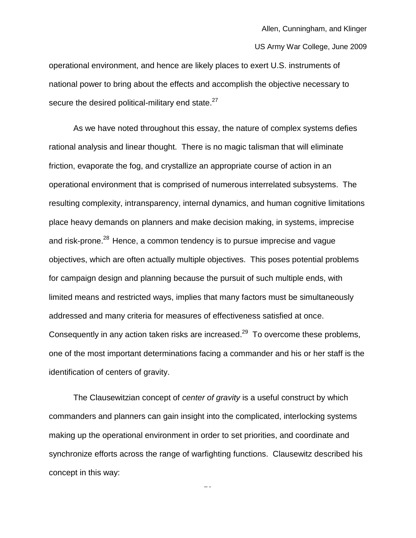operational environment, and hence are likely places to exert U.S. instruments of national power to bring about the effects and accomplish the objective necessary to secure the desired political-military end state.<sup>27</sup>

As we have noted throughout this essay, the nature of complex systems defies rational analysis and linear thought. There is no magic talisman that will eliminate friction, evaporate the fog, and crystallize an appropriate course of action in an operational environment that is comprised of numerous interrelated subsystems. The resulting complexity, intransparency, internal dynamics, and human cognitive limitations place heavy demands on planners and make decision making, in systems, imprecise and risk-prone.<sup>28</sup> Hence, a common tendency is to pursue imprecise and vague objectives, which are often actually multiple objectives. This poses potential problems for campaign design and planning because the pursuit of such multiple ends, with limited means and restricted ways, implies that many factors must be simultaneously addressed and many criteria for measures of effectiveness satisfied at once. Consequently in any action taken risks are increased.<sup>29</sup> To overcome these problems, one of the most important determinations facing a commander and his or her staff is the identification of centers of gravity.

The Clausewitzian concept of *center of gravity* is a useful construct by which commanders and planners can gain insight into the complicated, interlocking systems making up the operational environment in order to set priorities, and coordinate and synchronize efforts across the range of warfighting functions. Clausewitz described his concept in this way:

 $\overline{\phantom{a}}$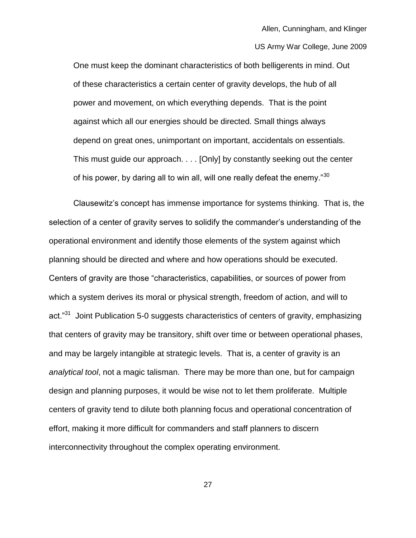One must keep the dominant characteristics of both belligerents in mind. Out of these characteristics a certain center of gravity develops, the hub of all power and movement, on which everything depends. That is the point against which all our energies should be directed. Small things always depend on great ones, unimportant on important, accidentals on essentials. This must guide our approach. . . . [Only] by constantly seeking out the center of his power, by daring all to win all, will one really defeat the enemy." $30$ 

Clausewitz's concept has immense importance for systems thinking. That is, the selection of a center of gravity serves to solidify the commander's understanding of the operational environment and identify those elements of the system against which planning should be directed and where and how operations should be executed. Centers of gravity are those "characteristics, capabilities, or sources of power from which a system derives its moral or physical strength, freedom of action, and will to act."<sup>31</sup> Joint Publication 5-0 suggests characteristics of centers of gravity, emphasizing that centers of gravity may be transitory, shift over time or between operational phases, and may be largely intangible at strategic levels. That is, a center of gravity is an *analytical tool*, not a magic talisman. There may be more than one, but for campaign design and planning purposes, it would be wise not to let them proliferate. Multiple centers of gravity tend to dilute both planning focus and operational concentration of effort, making it more difficult for commanders and staff planners to discern interconnectivity throughout the complex operating environment.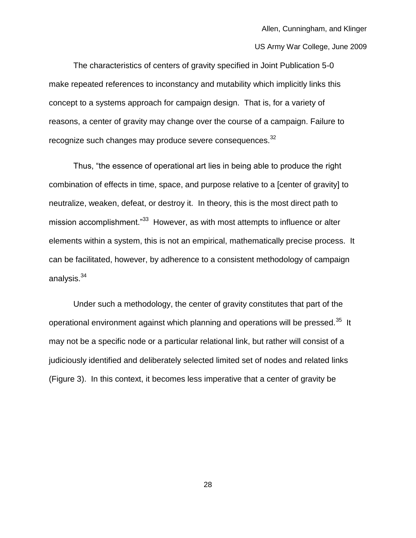The characteristics of centers of gravity specified in Joint Publication 5-0 make repeated references to inconstancy and mutability which implicitly links this concept to a systems approach for campaign design. That is, for a variety of reasons, a center of gravity may change over the course of a campaign. Failure to recognize such changes may produce severe consequences.<sup>32</sup>

Thus, "the essence of operational art lies in being able to produce the right combination of effects in time, space, and purpose relative to a [center of gravity] to neutralize, weaken, defeat, or destroy it. In theory, this is the most direct path to mission accomplishment."<sup>33</sup> However, as with most attempts to influence or alter elements within a system, this is not an empirical, mathematically precise process. It can be facilitated, however, by adherence to a consistent methodology of campaign analysis.<sup>34</sup>

Under such a methodology, the center of gravity constitutes that part of the operational environment against which planning and operations will be pressed.<sup>35</sup> It may not be a specific node or a particular relational link, but rather will consist of a judiciously identified and deliberately selected limited set of nodes and related links (Figure 3). In this context, it becomes less imperative that a center of gravity be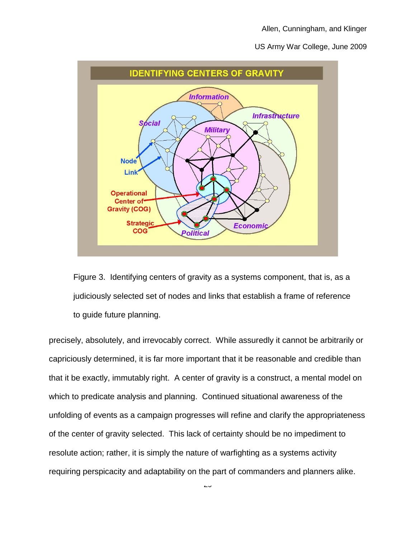

Figure 3. Identifying centers of gravity as a systems component, that is, as a judiciously selected set of nodes and links that establish a frame of reference to guide future planning.

precisely, absolutely, and irrevocably correct. While assuredly it cannot be arbitrarily or capriciously determined, it is far more important that it be reasonable and credible than that it be exactly, immutably right. A center of gravity is a construct, a mental model on which to predicate analysis and planning. Continued situational awareness of the unfolding of events as a campaign progresses will refine and clarify the appropriateness of the center of gravity selected. This lack of certainty should be no impediment to resolute action; rather, it is simply the nature of warfighting as a systems activity requiring perspicacity and adaptability on the part of commanders and planners alike.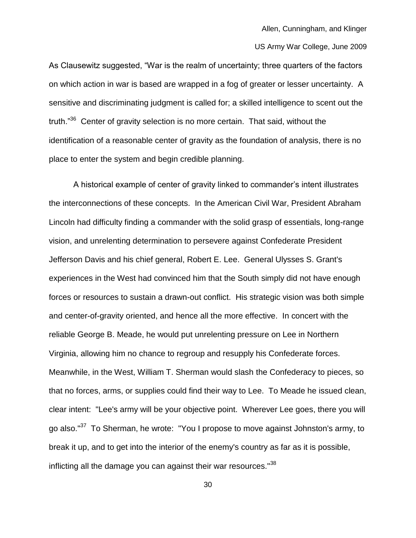As Clausewitz suggested, "War is the realm of uncertainty; three quarters of the factors on which action in war is based are wrapped in a fog of greater or lesser uncertainty. A sensitive and discriminating judgment is called for; a skilled intelligence to scent out the truth."<sup>36</sup> Center of gravity selection is no more certain. That said, without the identification of a reasonable center of gravity as the foundation of analysis, there is no place to enter the system and begin credible planning.

A historical example of center of gravity linked to commander's intent illustrates the interconnections of these concepts. In the American Civil War, President Abraham Lincoln had difficulty finding a commander with the solid grasp of essentials, long-range vision, and unrelenting determination to persevere against Confederate President Jefferson Davis and his chief general, Robert E. Lee. General Ulysses S. Grant's experiences in the West had convinced him that the South simply did not have enough forces or resources to sustain a drawn-out conflict. His strategic vision was both simple and center-of-gravity oriented, and hence all the more effective. In concert with the reliable George B. Meade, he would put unrelenting pressure on Lee in Northern Virginia, allowing him no chance to regroup and resupply his Confederate forces. Meanwhile, in the West, William T. Sherman would slash the Confederacy to pieces, so that no forces, arms, or supplies could find their way to Lee. To Meade he issued clean, clear intent: "Lee's army will be your objective point. Wherever Lee goes, there you will go also."<sup>37</sup> To Sherman, he wrote: "You I propose to move against Johnston's army, to break it up, and to get into the interior of the enemy's country as far as it is possible, inflicting all the damage you can against their war resources."<sup>38</sup>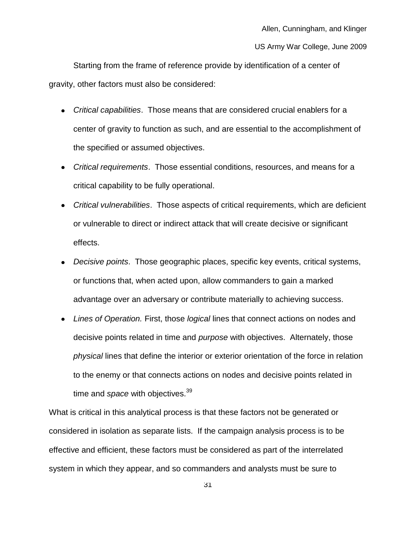Starting from the frame of reference provide by identification of a center of gravity, other factors must also be considered:

- *Critical capabilities*. Those means that are considered crucial enablers for a center of gravity to function as such, and are essential to the accomplishment of the specified or assumed objectives.
- *Critical requirements*. Those essential conditions, resources, and means for a critical capability to be fully operational.
- *Critical vulnerabilities*. Those aspects of critical requirements, which are deficient or vulnerable to direct or indirect attack that will create decisive or significant effects.
- *Decisive points*. Those geographic places, specific key events, critical systems, or functions that, when acted upon, allow commanders to gain a marked advantage over an adversary or contribute materially to achieving success.
- *Lines of Operation.* First, those *logical* lines that connect actions on nodes and decisive points related in time and *purpose* with objectives. Alternately, those *physical* lines that define the interior or exterior orientation of the force in relation to the enemy or that connects actions on nodes and decisive points related in time and *space* with objectives.<sup>39</sup>

What is critical in this analytical process is that these factors not be generated or considered in isolation as separate lists. If the campaign analysis process is to be effective and efficient, these factors must be considered as part of the interrelated system in which they appear, and so commanders and analysts must be sure to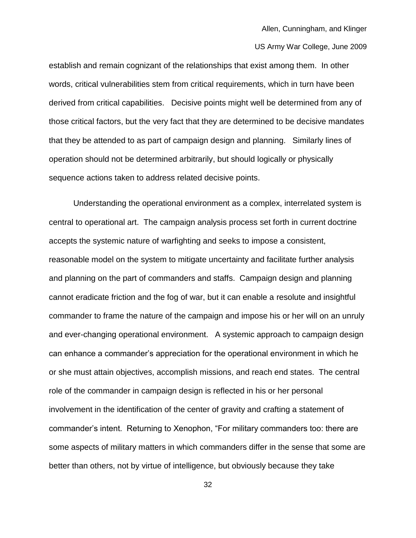establish and remain cognizant of the relationships that exist among them. In other words, critical vulnerabilities stem from critical requirements, which in turn have been derived from critical capabilities. Decisive points might well be determined from any of those critical factors, but the very fact that they are determined to be decisive mandates that they be attended to as part of campaign design and planning. Similarly lines of operation should not be determined arbitrarily, but should logically or physically sequence actions taken to address related decisive points.

Understanding the operational environment as a complex, interrelated system is central to operational art. The campaign analysis process set forth in current doctrine accepts the systemic nature of warfighting and seeks to impose a consistent, reasonable model on the system to mitigate uncertainty and facilitate further analysis and planning on the part of commanders and staffs. Campaign design and planning cannot eradicate friction and the fog of war, but it can enable a resolute and insightful commander to frame the nature of the campaign and impose his or her will on an unruly and ever-changing operational environment. A systemic approach to campaign design can enhance a commander's appreciation for the operational environment in which he or she must attain objectives, accomplish missions, and reach end states. The central role of the commander in campaign design is reflected in his or her personal involvement in the identification of the center of gravity and crafting a statement of commander's intent. Returning to Xenophon, "For military commanders too: there are some aspects of military matters in which commanders differ in the sense that some are better than others, not by virtue of intelligence, but obviously because they take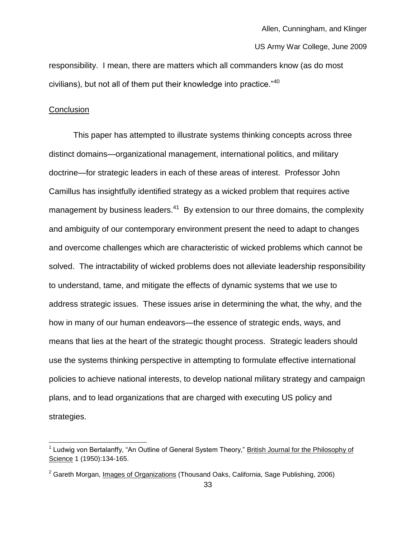responsibility. I mean, there are matters which all commanders know (as do most civilians), but not all of them put their knowledge into practice. $140$ 

### **Conclusion**

This paper has attempted to illustrate systems thinking concepts across three distinct domains—organizational management, international politics, and military doctrine—for strategic leaders in each of these areas of interest. Professor John Camillus has insightfully identified strategy as a wicked problem that requires active management by business leaders.<sup>41</sup> By extension to our three domains, the complexity and ambiguity of our contemporary environment present the need to adapt to changes and overcome challenges which are characteristic of wicked problems which cannot be solved. The intractability of wicked problems does not alleviate leadership responsibility to understand, tame, and mitigate the effects of dynamic systems that we use to address strategic issues. These issues arise in determining the what, the why, and the how in many of our human endeavors—the essence of strategic ends, ways, and means that lies at the heart of the strategic thought process. Strategic leaders should use the systems thinking perspective in attempting to formulate effective international policies to achieve national interests, to develop national military strategy and campaign plans, and to lead organizations that are charged with executing US policy and strategies.

<sup>&</sup>lt;sup>1</sup> Ludwig von Bertalanffy, "An Outline of General System Theory," British Journal for the Philosophy of Science 1 (1950):134-165.

 $2$  Gareth Morgan, Images of Organizations (Thousand Oaks, California, Sage Publishing, 2006)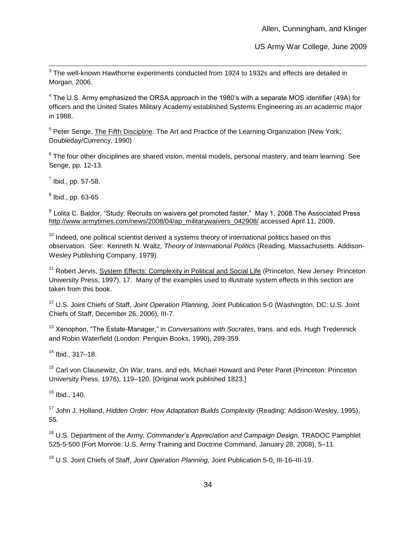$3$  The well-known Hawthorne experiments conducted from 1924 to 1932s and effects are detailed in Morgan, 2006.

 $4$  The U.S. Army emphasized the ORSA approach in the 1980's with a separate MOS identifier (49A) for officers and the United States Military Academy established Systems Engineering as an academic major in 1988.

<sup>5</sup> Peter Senge, **The Fifth Discipline: The Art and Practice of the Learning Organization (New York,** Doubleday/Currency, 1990)

 $^6$  The four other disciplines are shared vision, mental models, personal mastery, and team learning. See Senge, pp. 12-13.

 $<sup>7</sup>$  Ibid., pp. 57-58.</sup>

 $^8$  Ibid., pp. 63-65

<sup>9</sup> Lolita C. Baldor, "Study: Recruits on waivers get promoted faster," May 1, 2008 The Associated Press [http://www.armytimes.com/news/2008/04/ap\\_militarywaivers\\_042908/](http://www.armytimes.com/news/2008/04/ap_militarywaivers_042908/) accessed April 11, 2009.

 $10$  Indeed, one political scientist derived a systems theory of international politics based on this observation. See: Kenneth N. Waltz, *Theory of International Politics* (Reading, Massachusetts: Addison-Wesley Publishing Company, 1979).

<sup>11</sup> Robert Jervis, System Effects: Complexity in Political and Social Life (Princeton, New Jersey: Princeton University Press, 1997), 17. Many of the examples used to illustrate system effects in this section are taken from this book.

<sup>12</sup> U.S. Joint Chiefs of Staff, *Joint Operation Planning,* Joint Publication 5-0 (Washington, DC: U.S. Joint Chiefs of Staff, December 26, 2006), III-7.

<sup>13</sup> Xenophon, "The Estate-Manager," in *Conversations with Socrates*, trans. and eds. Hugh Tredennick and Robin Waterfield (London: Penguin Books, 1990), 289-359.

 $14$  Ibid., 317–18.

<sup>15</sup> Carl von Clausewitz, *On War*, trans. and eds. Michael Howard and Peter Paret (Princeton: Princeton University Press, 1976), 119–120. [Original work published 1823.]

 $16$  Ibid., 140.

<sup>17</sup> John J. Holland, *Hidden Order: How Adaptation Builds Complexity* (Reading: Addison-Wesley, 1995), 55.

<sup>18</sup> U.S. Department of the Army, *Commander's Appreciation and Campaign Design*, TRADOC Pamphlet 525-5-500 (Fort Monroe: U.S. Army Training and Doctrine Command, January 28, 2008), 5–11.

<sup>19</sup> U.S. Joint Chiefs of Staff, *Joint Operation Planning,* Joint Publication 5-0, III-16–III-19.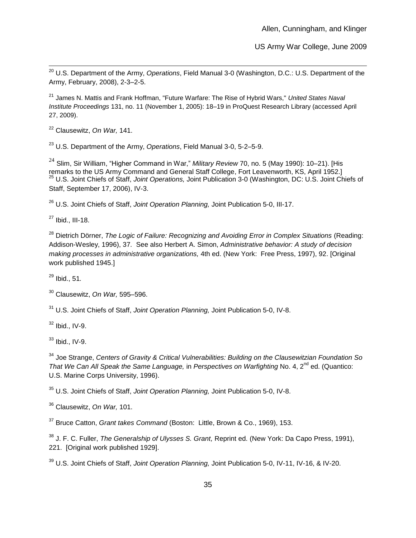<sup>20</sup> U.S. Department of the Army, *Operations*, Field Manual 3-0 (Washington, D.C.: U.S. Department of the Army, February, 2008), 2-3–2-5.

<sup>21</sup> James N. Mattis and Frank Hoffman, "Future Warfare: The Rise of Hybrid Wars," *United States Naval Institute Proceedings* 131, no. 11 (November 1, 2005): 18–19 in ProQuest Research Library (accessed April 27, 2009).

<sup>22</sup> Clausewitz, *On War,* 141.

<sup>23</sup> U.S. Department of the Army, *Operations*, Field Manual 3-0, 5-2–5-9.

<sup>24</sup> Slim, Sir William, "Higher Command in War," *Military Review* 70, no. 5 (May 1990): 10–21). [His remarks to the US Army Command and General Staff College, Fort Leavenworth, KS, April 1952.] <sup>25</sup> U.S. Joint Chiefs of Staff, *Joint Operations,* Joint Publication 3-0 (Washington, DC: U.S. Joint Chiefs of Staff, September 17, 2006), IV-3.

<sup>26</sup> U.S. Joint Chiefs of Staff, *Joint Operation Planning,* Joint Publication 5-0, III-17.

 $27$  Ibid., III-18.

<sup>28</sup> Dietrich Dörner, *The Logic of Failure: Recognizing and Avoiding Error in Complex Situations (Reading:* Addison-Wesley, 1996), 37*.* See also Herbert A. Simon, *Administrative behavior: A study of decision making processes in administrative organizations,* 4th ed. (New York: Free Press, 1997), 92. [Original work published 1945.]

<sup>29</sup> Ibid., 51*.*

<sup>30</sup> Clausewitz, *On War,* 595–596.

<sup>31</sup> U.S. Joint Chiefs of Staff, *Joint Operation Planning,* Joint Publication 5-0, IV-8.

 $32$  Ibid., IV-9.

 $33$  Ibid., IV-9.

<sup>34</sup> Joe Strange, *Centers of Gravity & Critical Vulnerabilities: Building on the Clausewitzian Foundation So That We Can All Speak the Same Language,* in *Perspectives on Warfighting No. 4, 2<sup>nd</sup> ed. (Quantico:* U.S. Marine Corps University, 1996).

<sup>35</sup> U.S. Joint Chiefs of Staff, *Joint Operation Planning,* Joint Publication 5-0, IV-8.

<sup>36</sup> Clausewitz, *On War,* 101.

<sup>37</sup> Bruce Catton, *Grant takes Command* (Boston: Little, Brown & Co., 1969), 153.

<sup>38</sup> J. F. C. Fuller, *The Generalship of Ulysses S. Grant,* Reprint ed. (New York: Da Capo Press, 1991), 221. [Original work published 1929].

<sup>39</sup> U.S. Joint Chiefs of Staff, *Joint Operation Planning,* Joint Publication 5-0, IV-11, IV-16, & IV-20.